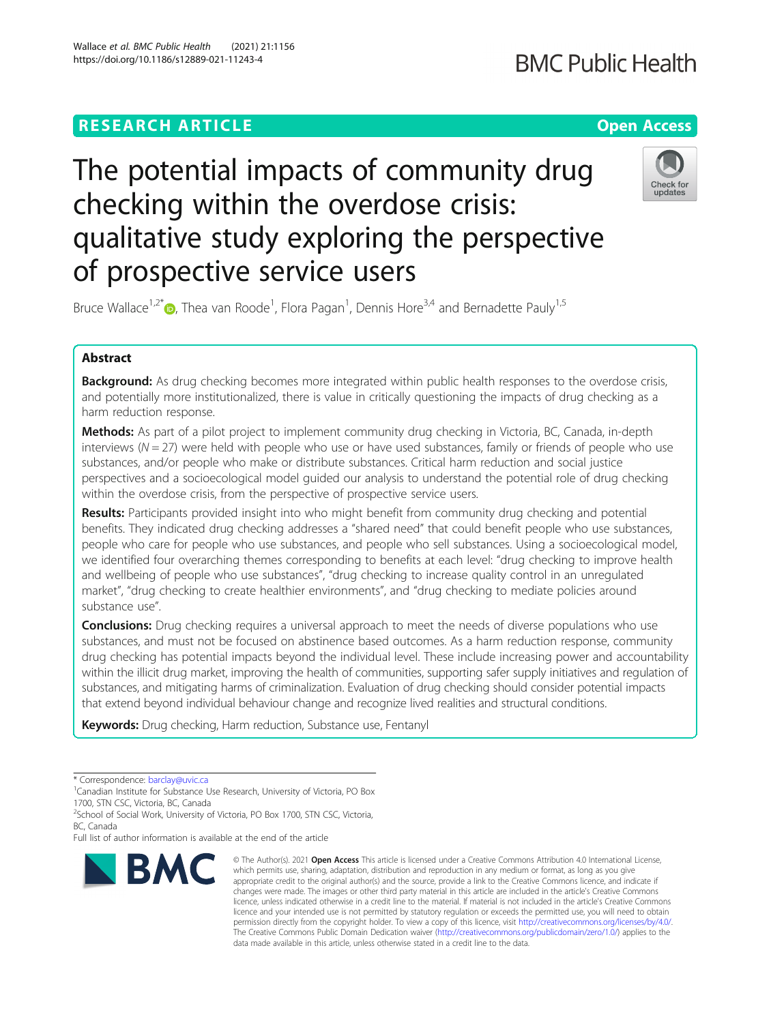# Wallace et al. BMC Public Health (2021) 21:1156 https://doi.org/10.1186/s12889-021-11243-4

of prospective service users

# The potential impacts of community drug checking within the overdose crisis: qualitative study exploring the perspective

Bruce Wallace<sup>1[,](http://orcid.org/0000-0003-0360-7302)2\*</sup> <sub>D</sub>, Thea van Roode<sup>1</sup>, Flora Pagan<sup>1</sup>, Dennis Hore<sup>3,4</sup> and Bernadette Pauly<sup>1,5</sup>

# Abstract

Background: As drug checking becomes more integrated within public health responses to the overdose crisis, and potentially more institutionalized, there is value in critically questioning the impacts of drug checking as a harm reduction response.

**Methods:** As part of a pilot project to implement community drug checking in Victoria, BC, Canada, in-depth interviews ( $N = 27$ ) were held with people who use or have used substances, family or friends of people who use substances, and/or people who make or distribute substances. Critical harm reduction and social justice perspectives and a socioecological model guided our analysis to understand the potential role of drug checking within the overdose crisis, from the perspective of prospective service users.

Results: Participants provided insight into who might benefit from community drug checking and potential benefits. They indicated drug checking addresses a "shared need" that could benefit people who use substances, people who care for people who use substances, and people who sell substances. Using a socioecological model, we identified four overarching themes corresponding to benefits at each level: "drug checking to improve health and wellbeing of people who use substances", "drug checking to increase quality control in an unregulated market", "drug checking to create healthier environments", and "drug checking to mediate policies around substance use".

**Conclusions:** Drug checking requires a universal approach to meet the needs of diverse populations who use substances, and must not be focused on abstinence based outcomes. As a harm reduction response, community drug checking has potential impacts beyond the individual level. These include increasing power and accountability within the illicit drug market, improving the health of communities, supporting safer supply initiatives and regulation of substances, and mitigating harms of criminalization. Evaluation of drug checking should consider potential impacts that extend beyond individual behaviour change and recognize lived realities and structural conditions.

Keywords: Drug checking, Harm reduction, Substance use, Fentanyl

# **BMC**



<sup>\*</sup> Correspondence: [barclay@uvic.ca](mailto:barclay@uvic.ca) <sup>1</sup>

<sup>&</sup>lt;sup>1</sup> Canadian Institute for Substance Use Research, University of Victoria, PO Box 1700, STN CSC, Victoria, BC, Canada

<sup>&</sup>lt;sup>2</sup>School of Social Work, University of Victoria, PO Box 1700, STN CSC, Victoria, BC, Canada

Full list of author information is available at the end of the article

<sup>©</sup> The Author(s), 2021 **Open Access** This article is licensed under a Creative Commons Attribution 4.0 International License, which permits use, sharing, adaptation, distribution and reproduction in any medium or format, as long as you give appropriate credit to the original author(s) and the source, provide a link to the Creative Commons licence, and indicate if changes were made. The images or other third party material in this article are included in the article's Creative Commons licence, unless indicated otherwise in a credit line to the material. If material is not included in the article's Creative Commons licence and your intended use is not permitted by statutory regulation or exceeds the permitted use, you will need to obtain permission directly from the copyright holder. To view a copy of this licence, visit [http://creativecommons.org/licenses/by/4.0/.](http://creativecommons.org/licenses/by/4.0/) The Creative Commons Public Domain Dedication waiver [\(http://creativecommons.org/publicdomain/zero/1.0/](http://creativecommons.org/publicdomain/zero/1.0/)) applies to the data made available in this article, unless otherwise stated in a credit line to the data.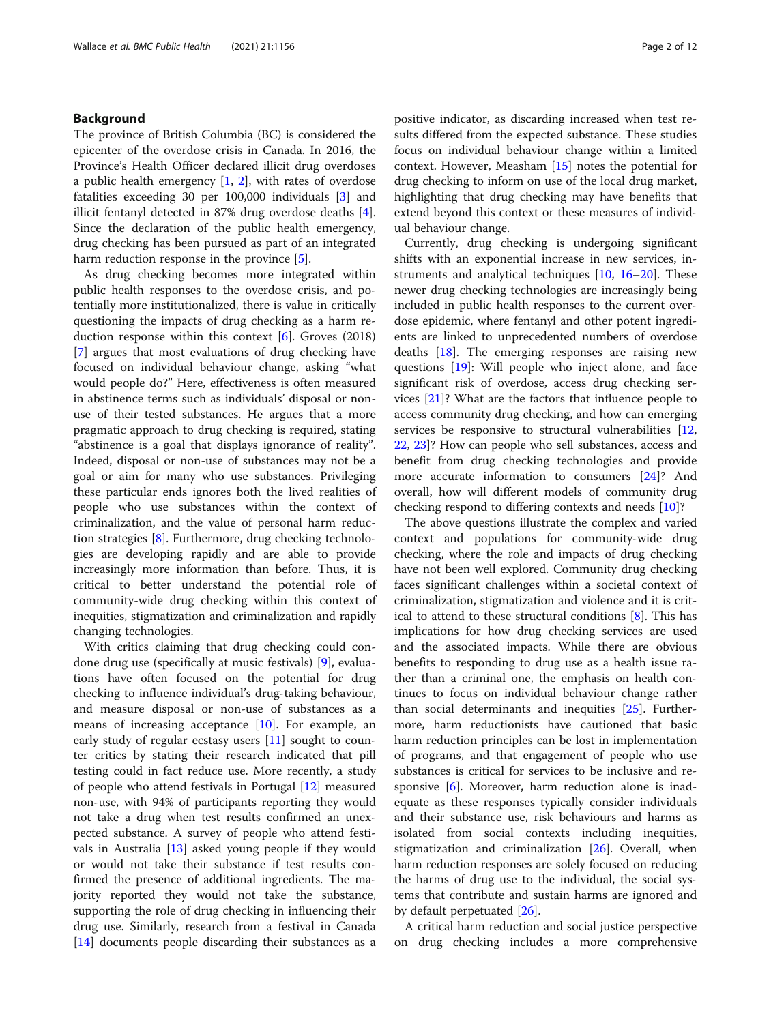# Background

The province of British Columbia (BC) is considered the epicenter of the overdose crisis in Canada. In 2016, the Province's Health Officer declared illicit drug overdoses a public health emergency [\[1](#page-10-0), [2\]](#page-10-0), with rates of overdose fatalities exceeding 30 per 100,000 individuals [\[3](#page-10-0)] and illicit fentanyl detected in 87% drug overdose deaths [\[4](#page-10-0)]. Since the declaration of the public health emergency, drug checking has been pursued as part of an integrated harm reduction response in the province [\[5](#page-10-0)].

As drug checking becomes more integrated within public health responses to the overdose crisis, and potentially more institutionalized, there is value in critically questioning the impacts of drug checking as a harm reduction response within this context  $[6]$  $[6]$ . Groves (2018) [[7\]](#page-10-0) argues that most evaluations of drug checking have focused on individual behaviour change, asking "what would people do?" Here, effectiveness is often measured in abstinence terms such as individuals' disposal or nonuse of their tested substances. He argues that a more pragmatic approach to drug checking is required, stating "abstinence is a goal that displays ignorance of reality". Indeed, disposal or non-use of substances may not be a goal or aim for many who use substances. Privileging these particular ends ignores both the lived realities of people who use substances within the context of criminalization, and the value of personal harm reduction strategies [\[8](#page-10-0)]. Furthermore, drug checking technologies are developing rapidly and are able to provide increasingly more information than before. Thus, it is critical to better understand the potential role of community-wide drug checking within this context of inequities, stigmatization and criminalization and rapidly changing technologies.

With critics claiming that drug checking could condone drug use (specifically at music festivals) [\[9](#page-10-0)], evaluations have often focused on the potential for drug checking to influence individual's drug-taking behaviour, and measure disposal or non-use of substances as a means of increasing acceptance [\[10](#page-10-0)]. For example, an early study of regular ecstasy users [[11\]](#page-10-0) sought to counter critics by stating their research indicated that pill testing could in fact reduce use. More recently, a study of people who attend festivals in Portugal [[12\]](#page-10-0) measured non-use, with 94% of participants reporting they would not take a drug when test results confirmed an unexpected substance. A survey of people who attend festivals in Australia [[13\]](#page-10-0) asked young people if they would or would not take their substance if test results confirmed the presence of additional ingredients. The majority reported they would not take the substance, supporting the role of drug checking in influencing their drug use. Similarly, research from a festival in Canada [[14\]](#page-10-0) documents people discarding their substances as a positive indicator, as discarding increased when test results differed from the expected substance. These studies focus on individual behaviour change within a limited context. However, Measham [\[15](#page-10-0)] notes the potential for drug checking to inform on use of the local drug market, highlighting that drug checking may have benefits that extend beyond this context or these measures of individual behaviour change.

Currently, drug checking is undergoing significant shifts with an exponential increase in new services, instruments and analytical techniques [[10,](#page-10-0) [16](#page-10-0)–[20\]](#page-11-0). These newer drug checking technologies are increasingly being included in public health responses to the current overdose epidemic, where fentanyl and other potent ingredients are linked to unprecedented numbers of overdose deaths [[18\]](#page-11-0). The emerging responses are raising new questions [\[19](#page-11-0)]: Will people who inject alone, and face significant risk of overdose, access drug checking services [[21\]](#page-11-0)? What are the factors that influence people to access community drug checking, and how can emerging services be responsive to structural vulnerabilities [[12](#page-10-0), [22,](#page-11-0) [23\]](#page-11-0)? How can people who sell substances, access and benefit from drug checking technologies and provide more accurate information to consumers [[24](#page-11-0)]? And overall, how will different models of community drug checking respond to differing contexts and needs [\[10](#page-10-0)]?

The above questions illustrate the complex and varied context and populations for community-wide drug checking, where the role and impacts of drug checking have not been well explored. Community drug checking faces significant challenges within a societal context of criminalization, stigmatization and violence and it is critical to attend to these structural conditions  $[8]$  $[8]$ . This has implications for how drug checking services are used and the associated impacts. While there are obvious benefits to responding to drug use as a health issue rather than a criminal one, the emphasis on health continues to focus on individual behaviour change rather than social determinants and inequities [[25\]](#page-11-0). Furthermore, harm reductionists have cautioned that basic harm reduction principles can be lost in implementation of programs, and that engagement of people who use substances is critical for services to be inclusive and responsive  $[6]$  $[6]$ . Moreover, harm reduction alone is inadequate as these responses typically consider individuals and their substance use, risk behaviours and harms as isolated from social contexts including inequities, stigmatization and criminalization [\[26](#page-11-0)]. Overall, when harm reduction responses are solely focused on reducing the harms of drug use to the individual, the social systems that contribute and sustain harms are ignored and by default perpetuated [[26\]](#page-11-0).

A critical harm reduction and social justice perspective on drug checking includes a more comprehensive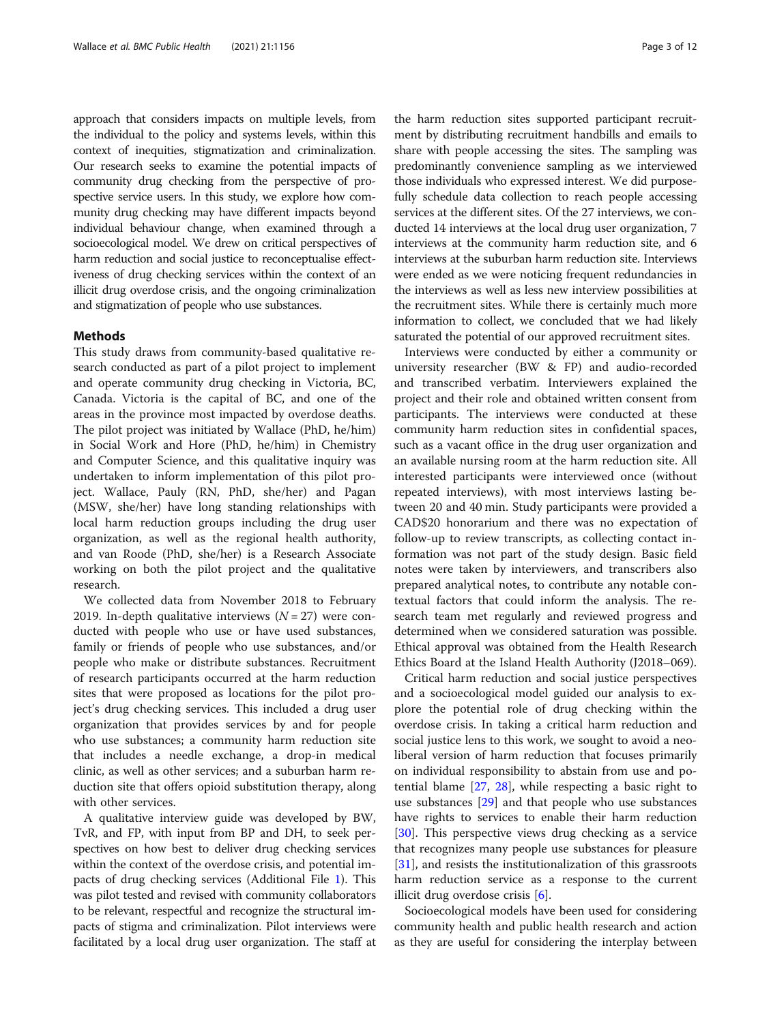approach that considers impacts on multiple levels, from the individual to the policy and systems levels, within this context of inequities, stigmatization and criminalization. Our research seeks to examine the potential impacts of community drug checking from the perspective of prospective service users. In this study, we explore how community drug checking may have different impacts beyond individual behaviour change, when examined through a socioecological model. We drew on critical perspectives of harm reduction and social justice to reconceptualise effectiveness of drug checking services within the context of an illicit drug overdose crisis, and the ongoing criminalization and stigmatization of people who use substances.

### Methods

This study draws from community-based qualitative research conducted as part of a pilot project to implement and operate community drug checking in Victoria, BC, Canada. Victoria is the capital of BC, and one of the areas in the province most impacted by overdose deaths. The pilot project was initiated by Wallace (PhD, he/him) in Social Work and Hore (PhD, he/him) in Chemistry and Computer Science, and this qualitative inquiry was undertaken to inform implementation of this pilot project. Wallace, Pauly (RN, PhD, she/her) and Pagan (MSW, she/her) have long standing relationships with local harm reduction groups including the drug user organization, as well as the regional health authority, and van Roode (PhD, she/her) is a Research Associate working on both the pilot project and the qualitative research.

We collected data from November 2018 to February 2019. In-depth qualitative interviews  $(N = 27)$  were conducted with people who use or have used substances, family or friends of people who use substances, and/or people who make or distribute substances. Recruitment of research participants occurred at the harm reduction sites that were proposed as locations for the pilot project's drug checking services. This included a drug user organization that provides services by and for people who use substances; a community harm reduction site that includes a needle exchange, a drop-in medical clinic, as well as other services; and a suburban harm reduction site that offers opioid substitution therapy, along with other services.

A qualitative interview guide was developed by BW, TvR, and FP, with input from BP and DH, to seek perspectives on how best to deliver drug checking services within the context of the overdose crisis, and potential impacts of drug checking services (Additional File [1](#page-10-0)). This was pilot tested and revised with community collaborators to be relevant, respectful and recognize the structural impacts of stigma and criminalization. Pilot interviews were facilitated by a local drug user organization. The staff at

the harm reduction sites supported participant recruitment by distributing recruitment handbills and emails to share with people accessing the sites. The sampling was predominantly convenience sampling as we interviewed those individuals who expressed interest. We did purposefully schedule data collection to reach people accessing services at the different sites. Of the 27 interviews, we conducted 14 interviews at the local drug user organization, 7 interviews at the community harm reduction site, and 6 interviews at the suburban harm reduction site. Interviews were ended as we were noticing frequent redundancies in the interviews as well as less new interview possibilities at the recruitment sites. While there is certainly much more information to collect, we concluded that we had likely saturated the potential of our approved recruitment sites.

Interviews were conducted by either a community or university researcher (BW & FP) and audio-recorded and transcribed verbatim. Interviewers explained the project and their role and obtained written consent from participants. The interviews were conducted at these community harm reduction sites in confidential spaces, such as a vacant office in the drug user organization and an available nursing room at the harm reduction site. All interested participants were interviewed once (without repeated interviews), with most interviews lasting between 20 and 40 min. Study participants were provided a CAD\$20 honorarium and there was no expectation of follow-up to review transcripts, as collecting contact information was not part of the study design. Basic field notes were taken by interviewers, and transcribers also prepared analytical notes, to contribute any notable contextual factors that could inform the analysis. The research team met regularly and reviewed progress and determined when we considered saturation was possible. Ethical approval was obtained from the Health Research Ethics Board at the Island Health Authority (J2018–069).

Critical harm reduction and social justice perspectives and a socioecological model guided our analysis to explore the potential role of drug checking within the overdose crisis. In taking a critical harm reduction and social justice lens to this work, we sought to avoid a neoliberal version of harm reduction that focuses primarily on individual responsibility to abstain from use and potential blame [[27](#page-11-0), [28](#page-11-0)], while respecting a basic right to use substances [[29\]](#page-11-0) and that people who use substances have rights to services to enable their harm reduction [[30\]](#page-11-0). This perspective views drug checking as a service that recognizes many people use substances for pleasure [[31\]](#page-11-0), and resists the institutionalization of this grassroots harm reduction service as a response to the current illicit drug overdose crisis [[6\]](#page-10-0).

Socioecological models have been used for considering community health and public health research and action as they are useful for considering the interplay between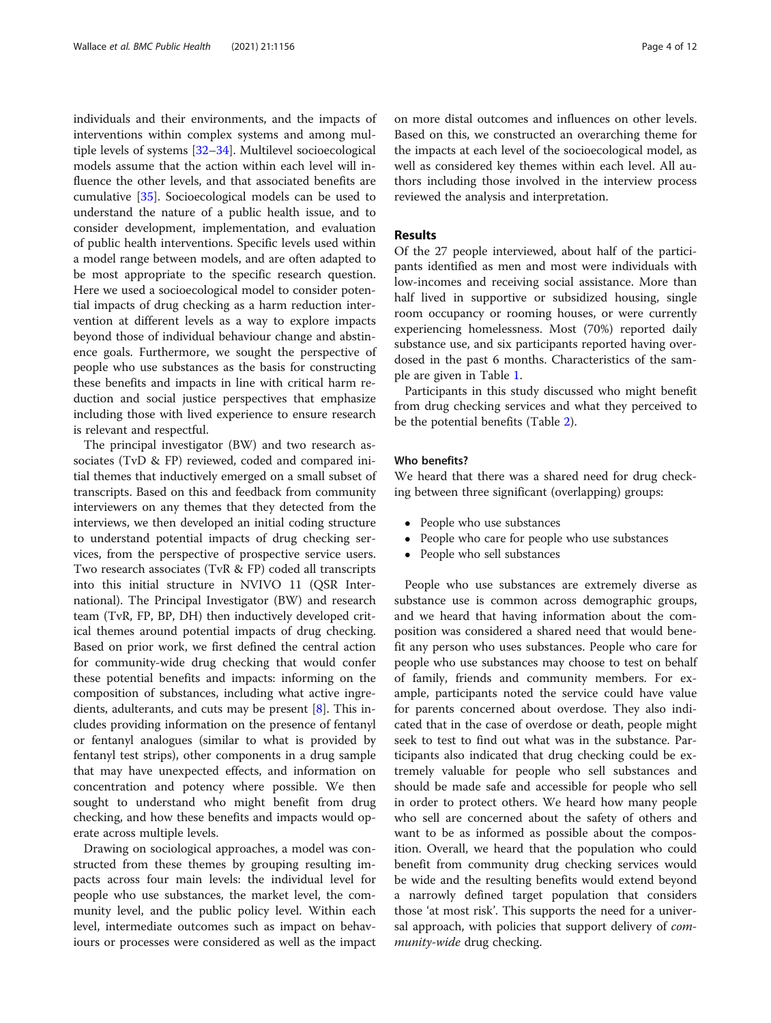individuals and their environments, and the impacts of interventions within complex systems and among multiple levels of systems [\[32](#page-11-0)–[34\]](#page-11-0). Multilevel socioecological models assume that the action within each level will influence the other levels, and that associated benefits are cumulative [[35\]](#page-11-0). Socioecological models can be used to understand the nature of a public health issue, and to consider development, implementation, and evaluation of public health interventions. Specific levels used within a model range between models, and are often adapted to be most appropriate to the specific research question. Here we used a socioecological model to consider potential impacts of drug checking as a harm reduction intervention at different levels as a way to explore impacts beyond those of individual behaviour change and abstinence goals. Furthermore, we sought the perspective of people who use substances as the basis for constructing these benefits and impacts in line with critical harm reduction and social justice perspectives that emphasize including those with lived experience to ensure research is relevant and respectful.

The principal investigator (BW) and two research associates (TvD & FP) reviewed, coded and compared initial themes that inductively emerged on a small subset of transcripts. Based on this and feedback from community interviewers on any themes that they detected from the interviews, we then developed an initial coding structure to understand potential impacts of drug checking services, from the perspective of prospective service users. Two research associates (TvR & FP) coded all transcripts into this initial structure in NVIVO 11 (QSR International). The Principal Investigator (BW) and research team (TvR, FP, BP, DH) then inductively developed critical themes around potential impacts of drug checking. Based on prior work, we first defined the central action for community-wide drug checking that would confer these potential benefits and impacts: informing on the composition of substances, including what active ingredients, adulterants, and cuts may be present [\[8](#page-10-0)]. This includes providing information on the presence of fentanyl or fentanyl analogues (similar to what is provided by fentanyl test strips), other components in a drug sample that may have unexpected effects, and information on concentration and potency where possible. We then sought to understand who might benefit from drug checking, and how these benefits and impacts would operate across multiple levels.

Drawing on sociological approaches, a model was constructed from these themes by grouping resulting impacts across four main levels: the individual level for people who use substances, the market level, the community level, and the public policy level. Within each level, intermediate outcomes such as impact on behaviours or processes were considered as well as the impact

on more distal outcomes and influences on other levels. Based on this, we constructed an overarching theme for the impacts at each level of the socioecological model, as well as considered key themes within each level. All authors including those involved in the interview process reviewed the analysis and interpretation.

# Results

Of the 27 people interviewed, about half of the participants identified as men and most were individuals with low-incomes and receiving social assistance. More than half lived in supportive or subsidized housing, single room occupancy or rooming houses, or were currently experiencing homelessness. Most (70%) reported daily substance use, and six participants reported having overdosed in the past 6 months. Characteristics of the sample are given in Table [1.](#page-4-0)

Participants in this study discussed who might benefit from drug checking services and what they perceived to be the potential benefits (Table [2\)](#page-5-0).

#### Who benefits?

We heard that there was a shared need for drug checking between three significant (overlapping) groups:

- People who use substances
- People who care for people who use substances
- People who sell substances

People who use substances are extremely diverse as substance use is common across demographic groups, and we heard that having information about the composition was considered a shared need that would benefit any person who uses substances. People who care for people who use substances may choose to test on behalf of family, friends and community members. For example, participants noted the service could have value for parents concerned about overdose. They also indicated that in the case of overdose or death, people might seek to test to find out what was in the substance. Participants also indicated that drug checking could be extremely valuable for people who sell substances and should be made safe and accessible for people who sell in order to protect others. We heard how many people who sell are concerned about the safety of others and want to be as informed as possible about the composition. Overall, we heard that the population who could benefit from community drug checking services would be wide and the resulting benefits would extend beyond a narrowly defined target population that considers those 'at most risk'. This supports the need for a universal approach, with policies that support delivery of *com*munity-wide drug checking.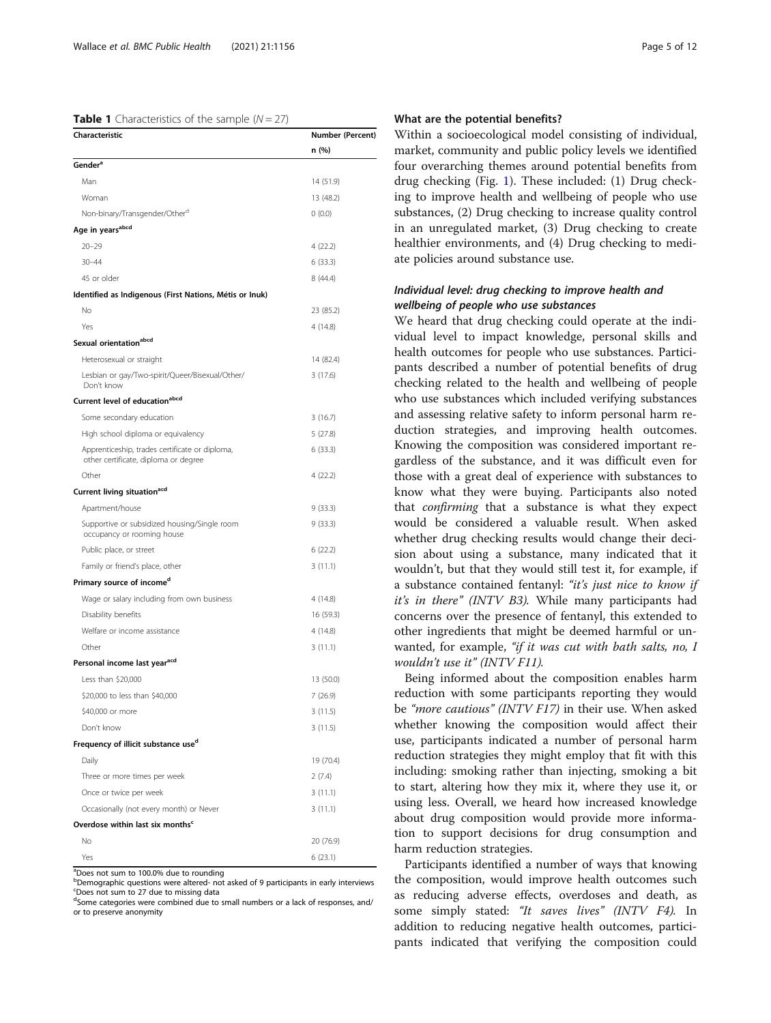#### <span id="page-4-0"></span>**Table 1** Characteristics of the sample  $(N = 27)$

| Characteristic                                                                         | <b>Number (Percent)</b><br>n (%) |
|----------------------------------------------------------------------------------------|----------------------------------|
|                                                                                        |                                  |
| Man                                                                                    | 14 (51.9)                        |
| Woman                                                                                  | 13 (48.2)                        |
| Non-binary/Transgender/Other <sup>a</sup>                                              | 0(0.0)                           |
| Age in years <sup>abcd</sup>                                                           |                                  |
| $20 - 29$                                                                              | 4(22.2)                          |
| $30 - 44$                                                                              | 6(33.3)                          |
| 45 or older                                                                            | 8 (44.4)                         |
| Identified as Indigenous (First Nations, Métis or Inuk)                                |                                  |
| No                                                                                     | 23 (85.2)                        |
| Yes                                                                                    | 4 (14.8)                         |
| Sexual orientation <sup>abcd</sup>                                                     |                                  |
| Heterosexual or straight                                                               | 14 (82.4)                        |
| Lesbian or gay/Two-spirit/Queer/Bisexual/Other/<br>Don't know                          | 3(17.6)                          |
| Current level of educationabcd                                                         |                                  |
| Some secondary education                                                               | 3(16.7)                          |
| High school diploma or equivalency                                                     | 5(27.8)                          |
| Apprenticeship, trades certificate or diploma,<br>other certificate, diploma or degree | 6(33.3)                          |
| Other                                                                                  | 4(22.2)                          |
| Current living situation <sup>acd</sup>                                                |                                  |
| Apartment/house                                                                        | 9(33.3)                          |
| Supportive or subsidized housing/Single room<br>occupancy or rooming house             | 9(33.3)                          |
| Public place, or street                                                                | 6(22.2)                          |
| Family or friend's place, other                                                        | 3(11.1)                          |
| Primary source of income <sup>d</sup>                                                  |                                  |
| Wage or salary including from own business                                             | 4 (14.8)                         |
| Disability benefits                                                                    | 16 (59.3)                        |
| Welfare or income assistance                                                           | 4 (14.8)                         |
| Other                                                                                  | 3(11.1)                          |
| Personal income last year <sup>acd</sup>                                               |                                  |
| Less than \$20,000                                                                     | 13 (50.0)                        |
| \$20,000 to less than \$40,000                                                         | 7(26.9)                          |
| \$40,000 or more                                                                       | 3(11.5)                          |
| Don't know                                                                             | 3(11.5)                          |
| Frequency of illicit substance use <sup>d</sup>                                        |                                  |
| Daily                                                                                  | 19 (70.4)                        |
| Three or more times per week                                                           | 2(7.4)                           |
| Once or twice per week                                                                 | 3(11.1)                          |
| Occasionally (not every month) or Never                                                | 3(11.1)                          |
| Overdose within last six months <sup>c</sup>                                           |                                  |
| No                                                                                     | 20 (76.9)                        |
| Yes                                                                                    | 6(23.1)                          |

<sup>a</sup>Does not sum to 100.0% due to rounding

<sup>b</sup>Demographic questions were altered- not asked of 9 participants in early interviews c Does not sum to 27 due to missing data

<sup>d</sup>Some categories were combined due to small numbers or a lack of responses, and/ or to preserve anonymity

# What are the potential benefits?

Within a socioecological model consisting of individual, market, community and public policy levels we identified four overarching themes around potential benefits from drug checking (Fig. [1\)](#page-6-0). These included: (1) Drug checking to improve health and wellbeing of people who use substances, (2) Drug checking to increase quality control in an unregulated market, (3) Drug checking to create healthier environments, and (4) Drug checking to mediate policies around substance use.

# Individual level: drug checking to improve health and wellbeing of people who use substances

We heard that drug checking could operate at the individual level to impact knowledge, personal skills and health outcomes for people who use substances. Participants described a number of potential benefits of drug checking related to the health and wellbeing of people who use substances which included verifying substances and assessing relative safety to inform personal harm reduction strategies, and improving health outcomes. Knowing the composition was considered important regardless of the substance, and it was difficult even for those with a great deal of experience with substances to know what they were buying. Participants also noted that confirming that a substance is what they expect would be considered a valuable result. When asked whether drug checking results would change their decision about using a substance, many indicated that it wouldn't, but that they would still test it, for example, if a substance contained fentanyl: "it's just nice to know if it's in there" (INTV B3). While many participants had concerns over the presence of fentanyl, this extended to other ingredients that might be deemed harmful or unwanted, for example, "if it was cut with bath salts, no, I wouldn't use it" (INTV F11).

Being informed about the composition enables harm reduction with some participants reporting they would be "more cautious" (INTV F17) in their use. When asked whether knowing the composition would affect their use, participants indicated a number of personal harm reduction strategies they might employ that fit with this including: smoking rather than injecting, smoking a bit to start, altering how they mix it, where they use it, or using less. Overall, we heard how increased knowledge about drug composition would provide more information to support decisions for drug consumption and harm reduction strategies.

Participants identified a number of ways that knowing the composition, would improve health outcomes such as reducing adverse effects, overdoses and death, as some simply stated: "It saves lives" (INTV F4). In addition to reducing negative health outcomes, participants indicated that verifying the composition could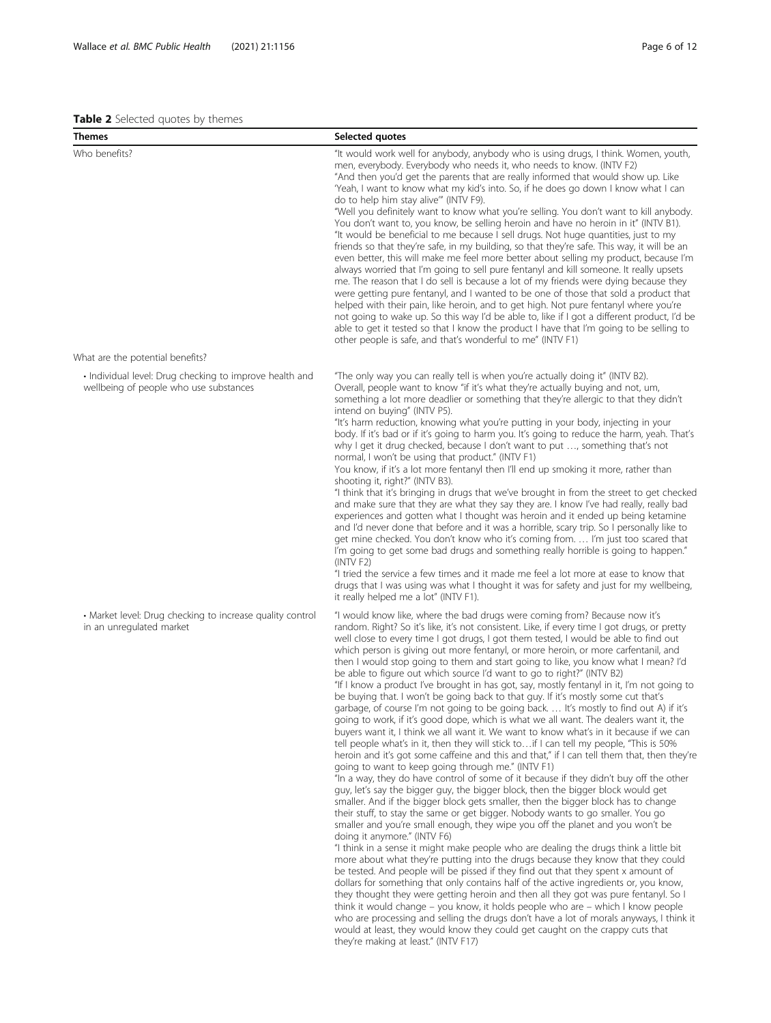#### <span id="page-5-0"></span>Table 2 Selected quotes by themes

| <b>Themes</b>                                                                                     | Selected quotes                                                                                                                                                                                                                                                                                                                                                                                                                                                                                                                                                                                                                                                                                                                                                                                                                                                                                                                                                                                                                                                                                                                                                                                                                                                                                                                                                                                                                                                                                                                                                                                                                                                                                                                                                                                                                                                                                                                                                                                                                                                                                                                                                                                                                                                                                                                                                                                                                    |
|---------------------------------------------------------------------------------------------------|------------------------------------------------------------------------------------------------------------------------------------------------------------------------------------------------------------------------------------------------------------------------------------------------------------------------------------------------------------------------------------------------------------------------------------------------------------------------------------------------------------------------------------------------------------------------------------------------------------------------------------------------------------------------------------------------------------------------------------------------------------------------------------------------------------------------------------------------------------------------------------------------------------------------------------------------------------------------------------------------------------------------------------------------------------------------------------------------------------------------------------------------------------------------------------------------------------------------------------------------------------------------------------------------------------------------------------------------------------------------------------------------------------------------------------------------------------------------------------------------------------------------------------------------------------------------------------------------------------------------------------------------------------------------------------------------------------------------------------------------------------------------------------------------------------------------------------------------------------------------------------------------------------------------------------------------------------------------------------------------------------------------------------------------------------------------------------------------------------------------------------------------------------------------------------------------------------------------------------------------------------------------------------------------------------------------------------------------------------------------------------------------------------------------------------|
| Who benefits?                                                                                     | "It would work well for anybody, anybody who is using drugs, I think. Women, youth,<br>men, everybody. Everybody who needs it, who needs to know. (INTV F2)<br>"And then you'd get the parents that are really informed that would show up. Like<br>'Yeah, I want to know what my kid's into. So, if he does go down I know what I can<br>do to help him stay alive"" (INTV F9).<br>"Well you definitely want to know what you're selling. You don't want to kill anybody.<br>You don't want to, you know, be selling heroin and have no heroin in it" (INTV B1).<br>"It would be beneficial to me because I sell drugs. Not huge quantities, just to my<br>friends so that they're safe, in my building, so that they're safe. This way, it will be an<br>even better, this will make me feel more better about selling my product, because I'm<br>always worried that I'm going to sell pure fentanyl and kill someone. It really upsets<br>me. The reason that I do sell is because a lot of my friends were dying because they<br>were getting pure fentanyl, and I wanted to be one of those that sold a product that<br>helped with their pain, like heroin, and to get high. Not pure fentanyl where you're<br>not going to wake up. So this way I'd be able to, like if I got a different product, I'd be<br>able to get it tested so that I know the product I have that I'm going to be selling to<br>other people is safe, and that's wonderful to me" (INTV F1)                                                                                                                                                                                                                                                                                                                                                                                                                                                                                                                                                                                                                                                                                                                                                                                                                                                                                                                                                        |
| What are the potential benefits?                                                                  |                                                                                                                                                                                                                                                                                                                                                                                                                                                                                                                                                                                                                                                                                                                                                                                                                                                                                                                                                                                                                                                                                                                                                                                                                                                                                                                                                                                                                                                                                                                                                                                                                                                                                                                                                                                                                                                                                                                                                                                                                                                                                                                                                                                                                                                                                                                                                                                                                                    |
| • Individual level: Drug checking to improve health and<br>wellbeing of people who use substances | "The only way you can really tell is when you're actually doing it" (INTV B2).<br>Overall, people want to know "if it's what they're actually buying and not, um,<br>something a lot more deadlier or something that they're allergic to that they didn't<br>intend on buying" (INTV P5).<br>"It's harm reduction, knowing what you're putting in your body, injecting in your<br>body. If it's bad or if it's going to harm you. It's going to reduce the harm, yeah. That's<br>why I get it drug checked, because I don't want to put , something that's not<br>normal, I won't be using that product." (INTV F1)<br>You know, if it's a lot more fentanyl then I'll end up smoking it more, rather than<br>shooting it, right?" (INTV B3).<br>"I think that it's bringing in drugs that we've brought in from the street to get checked<br>and make sure that they are what they say they are. I know I've had really, really bad<br>experiences and gotten what I thought was heroin and it ended up being ketamine<br>and I'd never done that before and it was a horrible, scary trip. So I personally like to<br>get mine checked. You don't know who it's coming from.  I'm just too scared that<br>I'm going to get some bad drugs and something really horrible is going to happen."<br>(INTV F2)<br>"I tried the service a few times and it made me feel a lot more at ease to know that<br>drugs that I was using was what I thought it was for safety and just for my wellbeing,<br>it really helped me a lot" (INTV F1).                                                                                                                                                                                                                                                                                                                                                                                                                                                                                                                                                                                                                                                                                                                                                                                                                                                                                             |
| • Market level: Drug checking to increase quality control<br>in an unregulated market             | "I would know like, where the bad drugs were coming from? Because now it's<br>random. Right? So it's like, it's not consistent. Like, if every time I got drugs, or pretty<br>well close to every time I got drugs, I got them tested, I would be able to find out<br>which person is giving out more fentanyl, or more heroin, or more carfentanil, and<br>then I would stop going to them and start going to like, you know what I mean? I'd<br>be able to figure out which source I'd want to go to right?" (INTV B2)<br>"If I know a product I've brought in has got, say, mostly fentanyl in it, I'm not going to<br>be buying that. I won't be going back to that guy. If it's mostly some cut that's<br>garbage, of course I'm not going to be going back.  It's mostly to find out A) if it's<br>going to work, if it's good dope, which is what we all want. The dealers want it, the<br>buyers want it, I think we all want it. We want to know what's in it because if we can<br>tell people what's in it, then they will stick to if I can tell my people, "This is 50%<br>heroin and it's got some caffeine and this and that," if I can tell them that, then they're<br>going to want to keep going through me." (INTV F1)<br>"In a way, they do have control of some of it because if they didn't buy off the other<br>guy, let's say the bigger guy, the bigger block, then the bigger block would get<br>smaller. And if the bigger block gets smaller, then the bigger block has to change<br>their stuff, to stay the same or get bigger. Nobody wants to go smaller. You go<br>smaller and you're small enough, they wipe you off the planet and you won't be<br>doing it anymore." (INTV F6)<br>"I think in a sense it might make people who are dealing the drugs think a little bit<br>more about what they're putting into the drugs because they know that they could<br>be tested. And people will be pissed if they find out that they spent x amount of<br>dollars for something that only contains half of the active ingredients or, you know,<br>they thought they were getting heroin and then all they got was pure fentanyl. So I<br>think it would change – you know, it holds people who are – which I know people<br>who are processing and selling the drugs don't have a lot of morals anyways, I think it<br>would at least, they would know they could get caught on the crappy cuts that |

they're making at least." (INTV F17)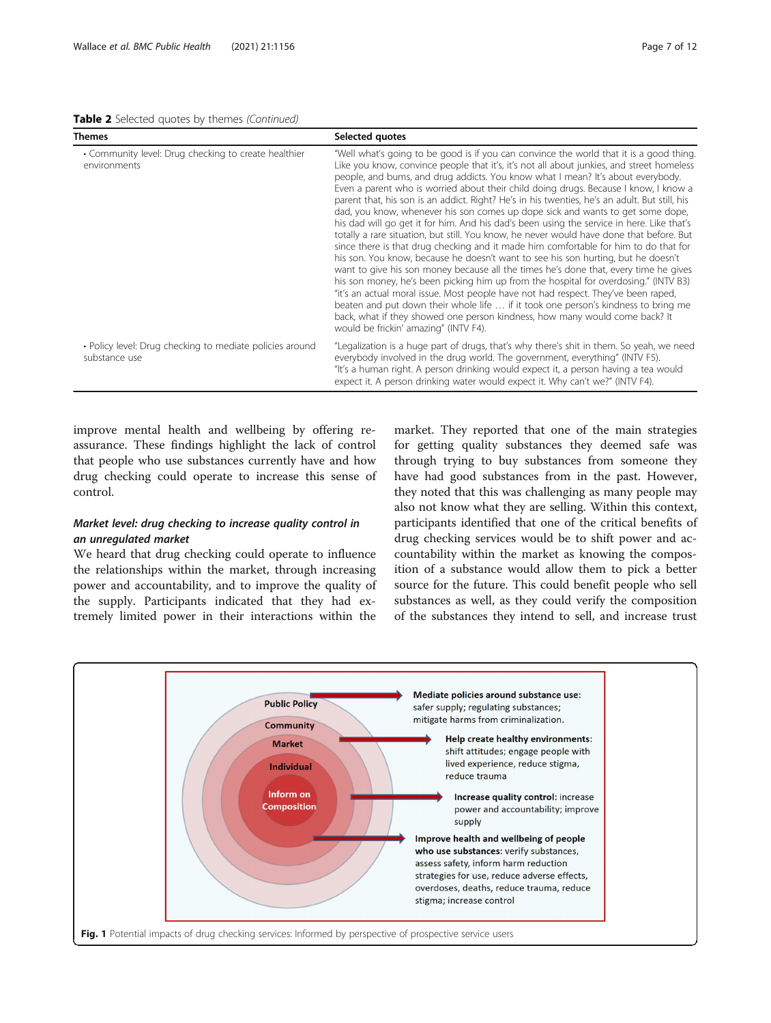<span id="page-6-0"></span>Table 2 Selected quotes by themes (Continued)

| <b>Themes</b>                                                             | Selected quotes                                                                                                                                                                                                                                                                                                                                                                                                                                                                                                                                                                                                                                                                                                                                                                                                                                                                                                                                                                                                                                                                                                                                                                                                                                                                                                                                                                                              |
|---------------------------------------------------------------------------|--------------------------------------------------------------------------------------------------------------------------------------------------------------------------------------------------------------------------------------------------------------------------------------------------------------------------------------------------------------------------------------------------------------------------------------------------------------------------------------------------------------------------------------------------------------------------------------------------------------------------------------------------------------------------------------------------------------------------------------------------------------------------------------------------------------------------------------------------------------------------------------------------------------------------------------------------------------------------------------------------------------------------------------------------------------------------------------------------------------------------------------------------------------------------------------------------------------------------------------------------------------------------------------------------------------------------------------------------------------------------------------------------------------|
| • Community level: Drug checking to create healthier<br>environments      | "Well what's going to be good is if you can convince the world that it is a good thing.<br>Like you know, convince people that it's, it's not all about junkies, and street homeless<br>people, and bums, and drug addicts. You know what I mean? It's about everybody.<br>Even a parent who is worried about their child doing drugs. Because I know, I know a<br>parent that, his son is an addict. Right? He's in his twenties, he's an adult. But still, his<br>dad, you know, whenever his son comes up dope sick and wants to get some dope,<br>his dad will go get it for him. And his dad's been using the service in here. Like that's<br>totally a rare situation, but still. You know, he never would have done that before. But<br>since there is that drug checking and it made him comfortable for him to do that for<br>his son. You know, because he doesn't want to see his son hurting, but he doesn't<br>want to give his son money because all the times he's done that, every time he gives<br>his son money, he's been picking him up from the hospital for overdosing." (INTV B3)<br>"it's an actual moral issue. Most people have not had respect. They've been raped,<br>beaten and put down their whole life  if it took one person's kindness to bring me<br>back, what if they showed one person kindness, how many would come back? It<br>would be frickin' amazing" (INTV F4). |
| • Policy level: Drug checking to mediate policies around<br>substance use | "Legalization is a huge part of drugs, that's why there's shit in them. So yeah, we need<br>everybody involved in the drug world. The government, everything" (INTV F5).<br>"It's a human right. A person drinking would expect it, a person having a tea would<br>expect it. A person drinking water would expect it. Why can't we?" (INTV F4).                                                                                                                                                                                                                                                                                                                                                                                                                                                                                                                                                                                                                                                                                                                                                                                                                                                                                                                                                                                                                                                             |

improve mental health and wellbeing by offering reassurance. These findings highlight the lack of control that people who use substances currently have and how drug checking could operate to increase this sense of control.

# Market level: drug checking to increase quality control in an unregulated market

We heard that drug checking could operate to influence the relationships within the market, through increasing power and accountability, and to improve the quality of the supply. Participants indicated that they had extremely limited power in their interactions within the

market. They reported that one of the main strategies for getting quality substances they deemed safe was through trying to buy substances from someone they have had good substances from in the past. However, they noted that this was challenging as many people may also not know what they are selling. Within this context, participants identified that one of the critical benefits of drug checking services would be to shift power and accountability within the market as knowing the composition of a substance would allow them to pick a better source for the future. This could benefit people who sell substances as well, as they could verify the composition of the substances they intend to sell, and increase trust

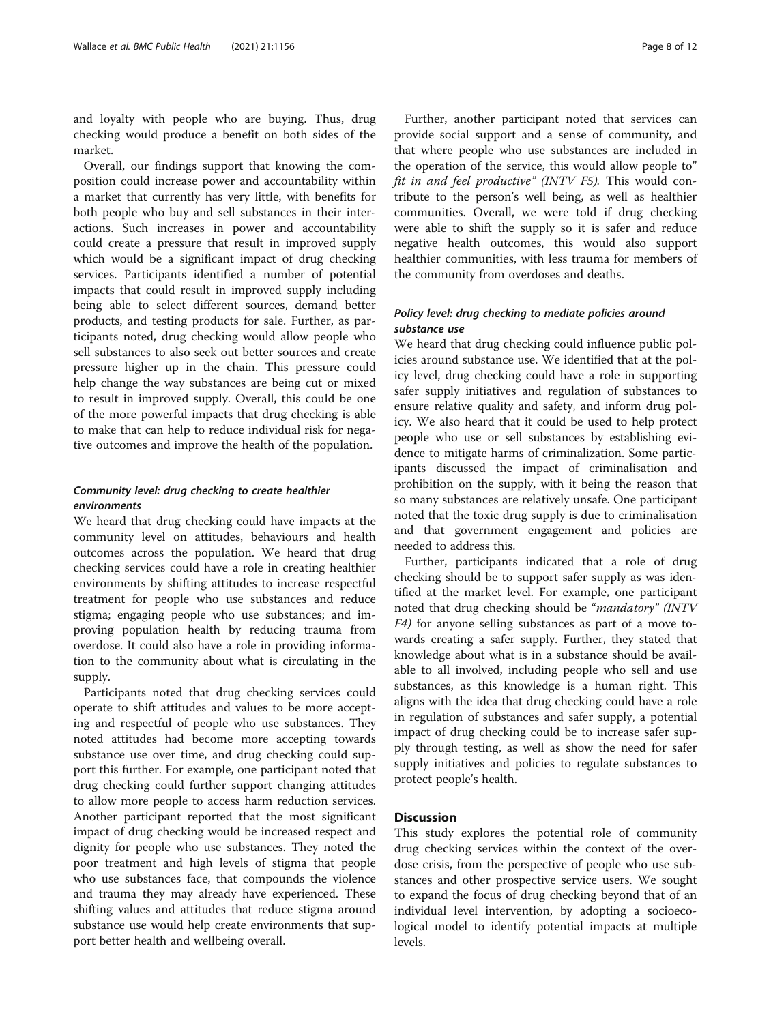and loyalty with people who are buying. Thus, drug checking would produce a benefit on both sides of the market.

Overall, our findings support that knowing the composition could increase power and accountability within a market that currently has very little, with benefits for both people who buy and sell substances in their interactions. Such increases in power and accountability could create a pressure that result in improved supply which would be a significant impact of drug checking services. Participants identified a number of potential impacts that could result in improved supply including being able to select different sources, demand better products, and testing products for sale. Further, as participants noted, drug checking would allow people who sell substances to also seek out better sources and create pressure higher up in the chain. This pressure could help change the way substances are being cut or mixed to result in improved supply. Overall, this could be one of the more powerful impacts that drug checking is able to make that can help to reduce individual risk for negative outcomes and improve the health of the population.

# Community level: drug checking to create healthier environments

We heard that drug checking could have impacts at the community level on attitudes, behaviours and health outcomes across the population. We heard that drug checking services could have a role in creating healthier environments by shifting attitudes to increase respectful treatment for people who use substances and reduce stigma; engaging people who use substances; and improving population health by reducing trauma from overdose. It could also have a role in providing information to the community about what is circulating in the supply.

Participants noted that drug checking services could operate to shift attitudes and values to be more accepting and respectful of people who use substances. They noted attitudes had become more accepting towards substance use over time, and drug checking could support this further. For example, one participant noted that drug checking could further support changing attitudes to allow more people to access harm reduction services. Another participant reported that the most significant impact of drug checking would be increased respect and dignity for people who use substances. They noted the poor treatment and high levels of stigma that people who use substances face, that compounds the violence and trauma they may already have experienced. These shifting values and attitudes that reduce stigma around substance use would help create environments that support better health and wellbeing overall.

Further, another participant noted that services can provide social support and a sense of community, and that where people who use substances are included in the operation of the service, this would allow people to" fit in and feel productive" (INTV F5). This would contribute to the person's well being, as well as healthier communities. Overall, we were told if drug checking were able to shift the supply so it is safer and reduce negative health outcomes, this would also support healthier communities, with less trauma for members of the community from overdoses and deaths.

# Policy level: drug checking to mediate policies around substance use

We heard that drug checking could influence public policies around substance use. We identified that at the policy level, drug checking could have a role in supporting safer supply initiatives and regulation of substances to ensure relative quality and safety, and inform drug policy. We also heard that it could be used to help protect people who use or sell substances by establishing evidence to mitigate harms of criminalization. Some participants discussed the impact of criminalisation and prohibition on the supply, with it being the reason that so many substances are relatively unsafe. One participant noted that the toxic drug supply is due to criminalisation and that government engagement and policies are needed to address this.

Further, participants indicated that a role of drug checking should be to support safer supply as was identified at the market level. For example, one participant noted that drug checking should be "mandatory" (INTV F4) for anyone selling substances as part of a move towards creating a safer supply. Further, they stated that knowledge about what is in a substance should be available to all involved, including people who sell and use substances, as this knowledge is a human right. This aligns with the idea that drug checking could have a role in regulation of substances and safer supply, a potential impact of drug checking could be to increase safer supply through testing, as well as show the need for safer supply initiatives and policies to regulate substances to protect people's health.

# **Discussion**

This study explores the potential role of community drug checking services within the context of the overdose crisis, from the perspective of people who use substances and other prospective service users. We sought to expand the focus of drug checking beyond that of an individual level intervention, by adopting a socioecological model to identify potential impacts at multiple levels.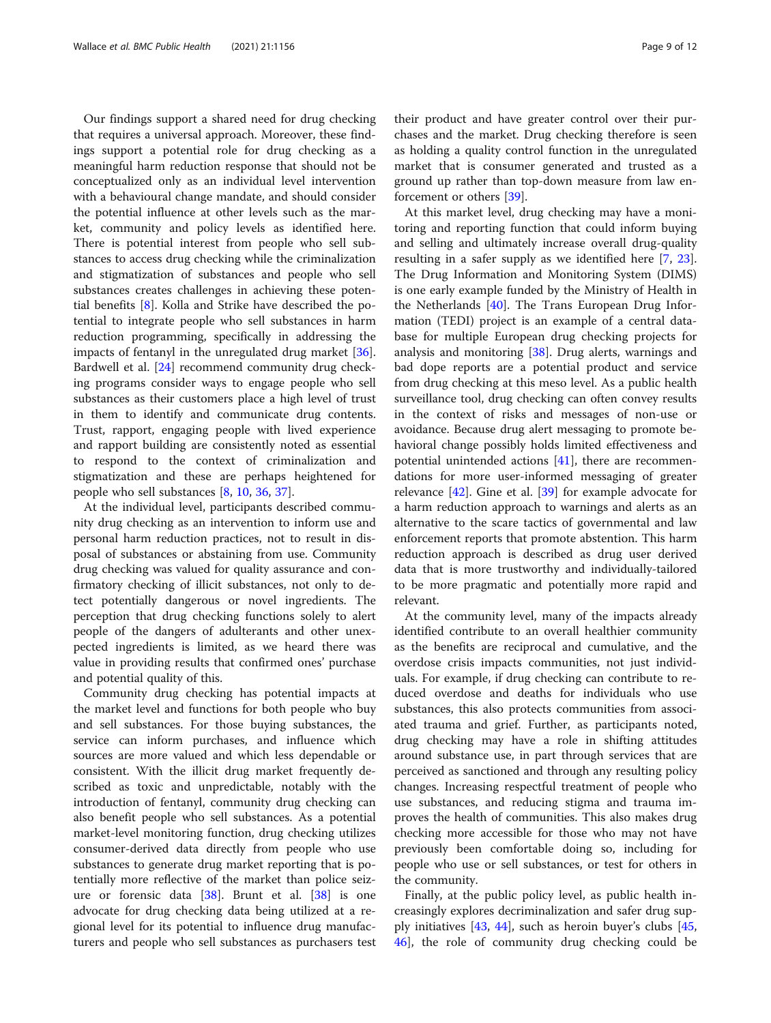Our findings support a shared need for drug checking that requires a universal approach. Moreover, these findings support a potential role for drug checking as a meaningful harm reduction response that should not be conceptualized only as an individual level intervention with a behavioural change mandate, and should consider the potential influence at other levels such as the market, community and policy levels as identified here. There is potential interest from people who sell substances to access drug checking while the criminalization and stigmatization of substances and people who sell substances creates challenges in achieving these potential benefits [\[8](#page-10-0)]. Kolla and Strike have described the potential to integrate people who sell substances in harm reduction programming, specifically in addressing the impacts of fentanyl in the unregulated drug market [\[36](#page-11-0)]. Bardwell et al. [\[24](#page-11-0)] recommend community drug checking programs consider ways to engage people who sell substances as their customers place a high level of trust in them to identify and communicate drug contents. Trust, rapport, engaging people with lived experience and rapport building are consistently noted as essential to respond to the context of criminalization and stigmatization and these are perhaps heightened for people who sell substances [[8,](#page-10-0) [10](#page-10-0), [36](#page-11-0), [37](#page-11-0)].

At the individual level, participants described community drug checking as an intervention to inform use and personal harm reduction practices, not to result in disposal of substances or abstaining from use. Community drug checking was valued for quality assurance and confirmatory checking of illicit substances, not only to detect potentially dangerous or novel ingredients. The perception that drug checking functions solely to alert people of the dangers of adulterants and other unexpected ingredients is limited, as we heard there was value in providing results that confirmed ones' purchase and potential quality of this.

Community drug checking has potential impacts at the market level and functions for both people who buy and sell substances. For those buying substances, the service can inform purchases, and influence which sources are more valued and which less dependable or consistent. With the illicit drug market frequently described as toxic and unpredictable, notably with the introduction of fentanyl, community drug checking can also benefit people who sell substances. As a potential market-level monitoring function, drug checking utilizes consumer-derived data directly from people who use substances to generate drug market reporting that is potentially more reflective of the market than police seizure or forensic data [[38\]](#page-11-0). Brunt et al. [[38\]](#page-11-0) is one advocate for drug checking data being utilized at a regional level for its potential to influence drug manufacturers and people who sell substances as purchasers test

their product and have greater control over their purchases and the market. Drug checking therefore is seen as holding a quality control function in the unregulated market that is consumer generated and trusted as a ground up rather than top-down measure from law enforcement or others [[39](#page-11-0)].

At this market level, drug checking may have a monitoring and reporting function that could inform buying and selling and ultimately increase overall drug-quality resulting in a safer supply as we identified here [\[7](#page-10-0), [23](#page-11-0)]. The Drug Information and Monitoring System (DIMS) is one early example funded by the Ministry of Health in the Netherlands [[40\]](#page-11-0). The Trans European Drug Information (TEDI) project is an example of a central database for multiple European drug checking projects for analysis and monitoring [\[38](#page-11-0)]. Drug alerts, warnings and bad dope reports are a potential product and service from drug checking at this meso level. As a public health surveillance tool, drug checking can often convey results in the context of risks and messages of non-use or avoidance. Because drug alert messaging to promote behavioral change possibly holds limited effectiveness and potential unintended actions [[41\]](#page-11-0), there are recommendations for more user-informed messaging of greater relevance [[42](#page-11-0)]. Gine et al. [\[39](#page-11-0)] for example advocate for a harm reduction approach to warnings and alerts as an alternative to the scare tactics of governmental and law enforcement reports that promote abstention. This harm reduction approach is described as drug user derived data that is more trustworthy and individually-tailored to be more pragmatic and potentially more rapid and relevant.

At the community level, many of the impacts already identified contribute to an overall healthier community as the benefits are reciprocal and cumulative, and the overdose crisis impacts communities, not just individuals. For example, if drug checking can contribute to reduced overdose and deaths for individuals who use substances, this also protects communities from associated trauma and grief. Further, as participants noted, drug checking may have a role in shifting attitudes around substance use, in part through services that are perceived as sanctioned and through any resulting policy changes. Increasing respectful treatment of people who use substances, and reducing stigma and trauma improves the health of communities. This also makes drug checking more accessible for those who may not have previously been comfortable doing so, including for people who use or sell substances, or test for others in the community.

Finally, at the public policy level, as public health increasingly explores decriminalization and safer drug supply initiatives [[43](#page-11-0), [44](#page-11-0)], such as heroin buyer's clubs [[45](#page-11-0), [46\]](#page-11-0), the role of community drug checking could be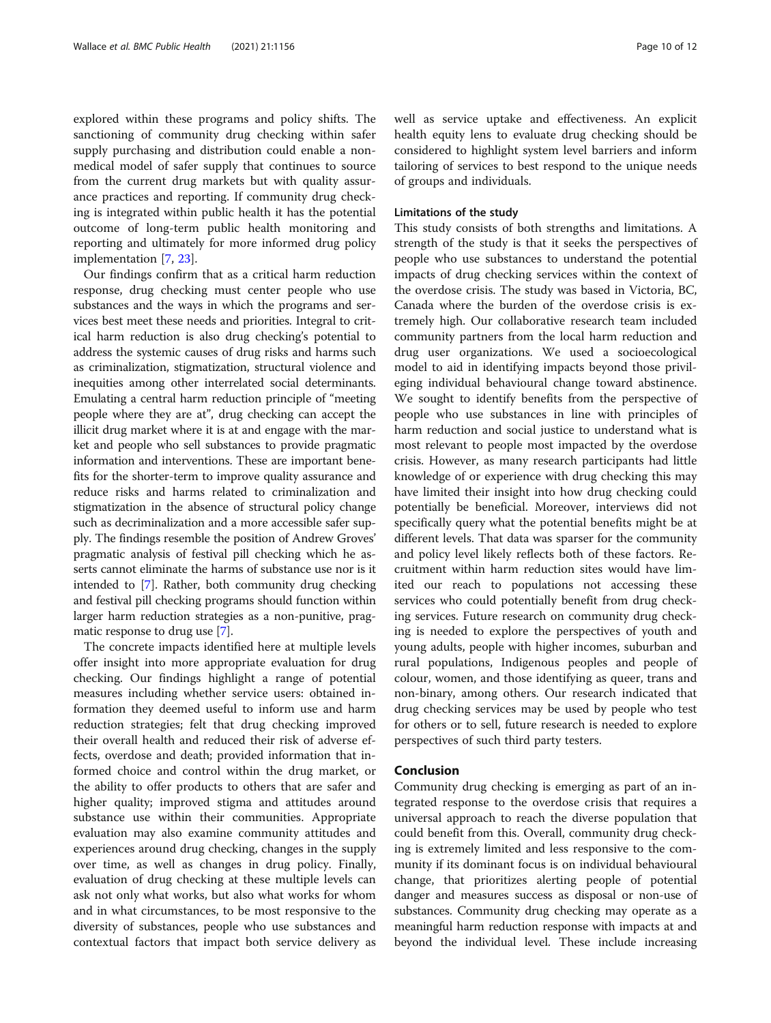explored within these programs and policy shifts. The sanctioning of community drug checking within safer supply purchasing and distribution could enable a nonmedical model of safer supply that continues to source from the current drug markets but with quality assurance practices and reporting. If community drug checking is integrated within public health it has the potential outcome of long-term public health monitoring and reporting and ultimately for more informed drug policy implementation [[7](#page-10-0), [23](#page-11-0)].

Our findings confirm that as a critical harm reduction response, drug checking must center people who use substances and the ways in which the programs and services best meet these needs and priorities. Integral to critical harm reduction is also drug checking's potential to address the systemic causes of drug risks and harms such as criminalization, stigmatization, structural violence and inequities among other interrelated social determinants. Emulating a central harm reduction principle of "meeting people where they are at", drug checking can accept the illicit drug market where it is at and engage with the market and people who sell substances to provide pragmatic information and interventions. These are important benefits for the shorter-term to improve quality assurance and reduce risks and harms related to criminalization and stigmatization in the absence of structural policy change such as decriminalization and a more accessible safer supply. The findings resemble the position of Andrew Groves' pragmatic analysis of festival pill checking which he asserts cannot eliminate the harms of substance use nor is it intended to [[7\]](#page-10-0). Rather, both community drug checking and festival pill checking programs should function within larger harm reduction strategies as a non-punitive, pragmatic response to drug use [\[7](#page-10-0)].

The concrete impacts identified here at multiple levels offer insight into more appropriate evaluation for drug checking. Our findings highlight a range of potential measures including whether service users: obtained information they deemed useful to inform use and harm reduction strategies; felt that drug checking improved their overall health and reduced their risk of adverse effects, overdose and death; provided information that informed choice and control within the drug market, or the ability to offer products to others that are safer and higher quality; improved stigma and attitudes around substance use within their communities. Appropriate evaluation may also examine community attitudes and experiences around drug checking, changes in the supply over time, as well as changes in drug policy. Finally, evaluation of drug checking at these multiple levels can ask not only what works, but also what works for whom and in what circumstances, to be most responsive to the diversity of substances, people who use substances and contextual factors that impact both service delivery as well as service uptake and effectiveness. An explicit health equity lens to evaluate drug checking should be considered to highlight system level barriers and inform tailoring of services to best respond to the unique needs of groups and individuals.

#### Limitations of the study

This study consists of both strengths and limitations. A strength of the study is that it seeks the perspectives of people who use substances to understand the potential impacts of drug checking services within the context of the overdose crisis. The study was based in Victoria, BC, Canada where the burden of the overdose crisis is extremely high. Our collaborative research team included community partners from the local harm reduction and drug user organizations. We used a socioecological model to aid in identifying impacts beyond those privileging individual behavioural change toward abstinence. We sought to identify benefits from the perspective of people who use substances in line with principles of harm reduction and social justice to understand what is most relevant to people most impacted by the overdose crisis. However, as many research participants had little knowledge of or experience with drug checking this may have limited their insight into how drug checking could potentially be beneficial. Moreover, interviews did not specifically query what the potential benefits might be at different levels. That data was sparser for the community and policy level likely reflects both of these factors. Recruitment within harm reduction sites would have limited our reach to populations not accessing these services who could potentially benefit from drug checking services. Future research on community drug checking is needed to explore the perspectives of youth and young adults, people with higher incomes, suburban and rural populations, Indigenous peoples and people of colour, women, and those identifying as queer, trans and non-binary, among others. Our research indicated that drug checking services may be used by people who test for others or to sell, future research is needed to explore perspectives of such third party testers.

# Conclusion

Community drug checking is emerging as part of an integrated response to the overdose crisis that requires a universal approach to reach the diverse population that could benefit from this. Overall, community drug checking is extremely limited and less responsive to the community if its dominant focus is on individual behavioural change, that prioritizes alerting people of potential danger and measures success as disposal or non-use of substances. Community drug checking may operate as a meaningful harm reduction response with impacts at and beyond the individual level. These include increasing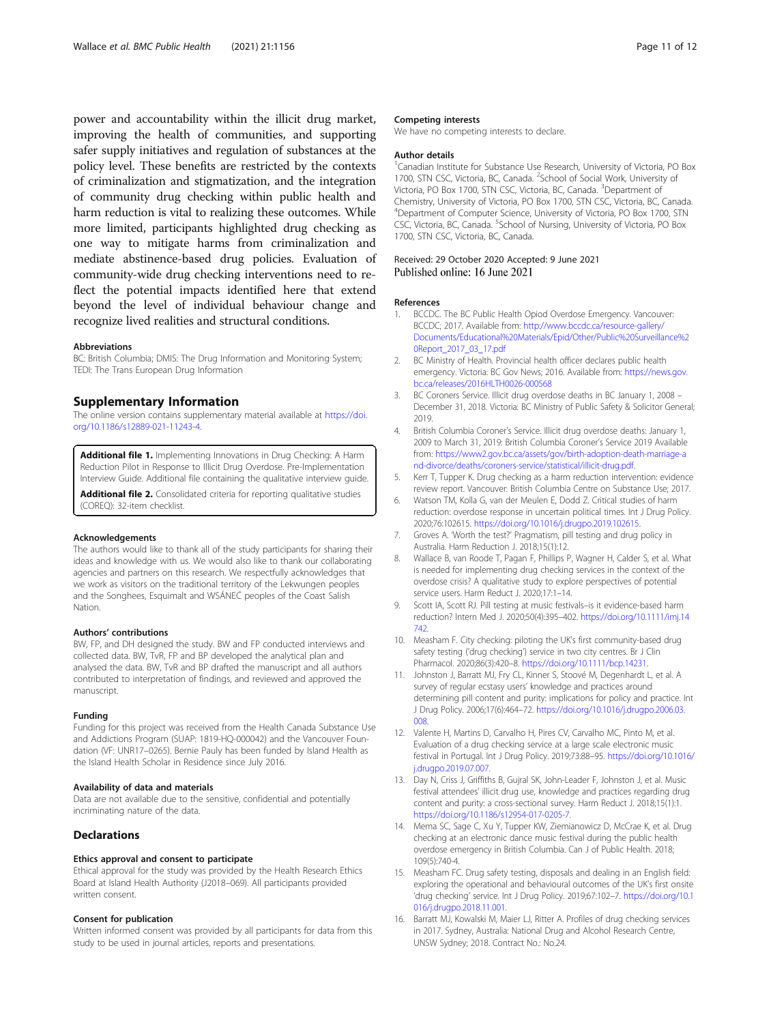<span id="page-10-0"></span>power and accountability within the illicit drug market, improving the health of communities, and supporting safer supply initiatives and regulation of substances at the policy level. These benefits are restricted by the contexts of criminalization and stigmatization, and the integration of community drug checking within public health and harm reduction is vital to realizing these outcomes. While more limited, participants highlighted drug checking as one way to mitigate harms from criminalization and mediate abstinence-based drug policies. Evaluation of community-wide drug checking interventions need to reflect the potential impacts identified here that extend beyond the level of individual behaviour change and recognize lived realities and structural conditions.

#### Abbreviations

BC: British Columbia; DMIS: The Drug Information and Monitoring System; TEDI: The Trans European Drug Information

### Supplementary Information

The online version contains supplementary material available at [https://doi.](https://doi.org/10.1186/s12889-021-11243-4) [org/10.1186/s12889-021-11243-4.](https://doi.org/10.1186/s12889-021-11243-4)

Additional file 1. Implementing Innovations in Drug Checking: A Harm Reduction Pilot in Response to Illicit Drug Overdose. Pre-Implementation Interview Guide. Additional file containing the qualitative interview guide.

Additional file 2. Consolidated criteria for reporting qualitative studies (COREQ): 32-item checklist.

#### Acknowledgements

The authors would like to thank all of the study participants for sharing their ideas and knowledge with us. We would also like to thank our collaborating agencies and partners on this research. We respectfully acknowledges that we work as visitors on the traditional territory of the Lekwungen peoples and the Songhees, Esquimalt and WSÁNEĆ peoples of the Coast Salish Nation.

#### Authors' contributions

BW, FP, and DH designed the study. BW and FP conducted interviews and collected data. BW, TvR, FP and BP developed the analytical plan and analysed the data. BW, TvR and BP drafted the manuscript and all authors contributed to interpretation of findings, and reviewed and approved the manuscript.

#### Funding

Funding for this project was received from the Health Canada Substance Use and Addictions Program (SUAP: 1819-HQ-000042) and the Vancouver Foundation (VF: UNR17–0265). Bernie Pauly has been funded by Island Health as the Island Health Scholar in Residence since July 2016.

#### Availability of data and materials

Data are not available due to the sensitive, confidential and potentially incriminating nature of the data.

#### **Declarations**

#### Ethics approval and consent to participate

Ethical approval for the study was provided by the Health Research Ethics Board at Island Health Authority (J2018–069). All participants provided written consent.

#### Consent for publication

Written informed consent was provided by all participants for data from this study to be used in journal articles, reports and presentations.

#### Competing interests

We have no competing interests to declare.

#### Author details

<sup>1</sup> Canadian Institute for Substance Use Research, University of Victoria, PO Box 1700, STN CSC, Victoria, BC, Canada. <sup>2</sup>School of Social Work, University of Victoria, PO Box 1700, STN CSC, Victoria, BC, Canada. <sup>3</sup>Department of Chemistry, University of Victoria, PO Box 1700, STN CSC, Victoria, BC, Canada. 4 Department of Computer Science, University of Victoria, PO Box 1700, STN CSC, Victoria, BC, Canada. <sup>5</sup>School of Nursing, University of Victoria, PO Box 1700, STN CSC, Victoria, BC, Canada.

#### Received: 29 October 2020 Accepted: 9 June 2021 Published online: 16 June 2021

#### References

- 1. BCCDC. The BC Public Health Opiod Overdose Emergency. Vancouver: BCCDC; 2017. Available from: [http://www.bccdc.ca/resource-gallery/](http://www.bccdc.ca/resource-gallery/Documents/Educational%20Materials/Epid/Other/Public%20Surveillance%20Report_2017_03_17.pdf) [Documents/Educational%20Materials/Epid/Other/Public%20Surveillance%2](http://www.bccdc.ca/resource-gallery/Documents/Educational%20Materials/Epid/Other/Public%20Surveillance%20Report_2017_03_17.pdf) [0Report\\_2017\\_03\\_17.pdf](http://www.bccdc.ca/resource-gallery/Documents/Educational%20Materials/Epid/Other/Public%20Surveillance%20Report_2017_03_17.pdf)
- 2. BC Ministry of Health. Provincial health officer declares public health emergency. Victoria: BC Gov News; 2016. Available from: [https://news.gov.](https://news.gov.bc.ca/releases/2016HLTH0026-000568) [bc.ca/releases/2016HLTH0026-000568](https://news.gov.bc.ca/releases/2016HLTH0026-000568)
- 3. BC Coroners Service. Illicit drug overdose deaths in BC January 1, 2008 December 31, 2018. Victoria: BC Ministry of Public Safety & Solicitor General; 2019.
- 4. British Columbia Coroner's Service. Illicit drug overdose deaths: January 1, 2009 to March 31, 2019: British Columbia Coroner's Service 2019 Available from: [https://www2.gov.bc.ca/assets/gov/birth-adoption-death-marriage-a](https://www2.gov.bc.ca/assets/gov/birth-adoption-death-marriage-and-divorce/deaths/coroners-service/statistical/illicit-drug.pdf) [nd-divorce/deaths/coroners-service/statistical/illicit-drug.pdf.](https://www2.gov.bc.ca/assets/gov/birth-adoption-death-marriage-and-divorce/deaths/coroners-service/statistical/illicit-drug.pdf)
- 5. Kerr T, Tupper K. Drug checking as a harm reduction intervention: evidence review report. Vancouver: British Columbia Centre on Substance Use; 2017.
- 6. Watson TM, Kolla G, van der Meulen E, Dodd Z. Critical studies of harm reduction: overdose response in uncertain political times. Int J Drug Policy. 2020;76:102615. [https://doi.org/10.1016/j.drugpo.2019.102615.](https://doi.org/10.1016/j.drugpo.2019.102615)
- 7. Groves A. 'Worth the test?' Pragmatism, pill testing and drug policy in Australia. Harm Reduction J. 2018;15(1):12.
- 8. Wallace B, van Roode T, Pagan F, Phillips P, Wagner H, Calder S, et al. What is needed for implementing drug checking services in the context of the overdose crisis? A qualitative study to explore perspectives of potential service users. Harm Reduct J. 2020;17:1–14.
- 9. Scott IA, Scott RJ. Pill testing at music festivals–is it evidence-based harm reduction? Intern Med J. 2020;50(4):395–402. [https://doi.org/10.1111/imj.14](https://doi.org/10.1111/imj.14742) [742.](https://doi.org/10.1111/imj.14742)
- 10. Measham F. City checking: piloting the UK's first community-based drug safety testing ('drug checking') service in two city centres. Br J Clin Pharmacol. 2020;86(3):420–8. [https://doi.org/10.1111/bcp.14231.](https://doi.org/10.1111/bcp.14231)
- 11. Johnston J, Barratt MJ, Fry CL, Kinner S, Stoové M, Degenhardt L, et al. A survey of regular ecstasy users' knowledge and practices around determining pill content and purity: implications for policy and practice. Int J Drug Policy. 2006;17(6):464–72. [https://doi.org/10.1016/j.drugpo.2006.03.](https://doi.org/10.1016/j.drugpo.2006.03.008) [008.](https://doi.org/10.1016/j.drugpo.2006.03.008)
- 12. Valente H, Martins D, Carvalho H, Pires CV, Carvalho MC, Pinto M, et al. Evaluation of a drug checking service at a large scale electronic music festival in Portugal. Int J Drug Policy. 2019;73:88–95. [https://doi.org/10.1016/](https://doi.org/10.1016/j.drugpo.2019.07.007) [j.drugpo.2019.07.007.](https://doi.org/10.1016/j.drugpo.2019.07.007)
- 13. Day N, Criss J, Griffiths B, Gujral SK, John-Leader F, Johnston J, et al. Music festival attendees' illicit drug use, knowledge and practices regarding drug content and purity: a cross-sectional survey. Harm Reduct J. 2018;15(1):1. <https://doi.org/10.1186/s12954-017-0205-7>.
- 14. Mema SC, Sage C, Xu Y, Tupper KW, Ziemianowicz D, McCrae K, et al. Drug checking at an electronic dance music festival during the public health overdose emergency in British Columbia. Can J of Public Health. 2018; 109(5):740-4.
- 15. Measham FC. Drug safety testing, disposals and dealing in an English field: exploring the operational and behavioural outcomes of the UK's first onsite 'drug checking' service. Int J Drug Policy. 2019;67:102–7. [https://doi.org/10.1](https://doi.org/10.1016/j.drugpo.2018.11.001) [016/j.drugpo.2018.11.001.](https://doi.org/10.1016/j.drugpo.2018.11.001)
- 16. Barratt MJ, Kowalski M, Maier LJ, Ritter A. Profiles of drug checking services in 2017. Sydney, Australia: National Drug and Alcohol Research Centre, UNSW Sydney; 2018. Contract No.: No.24.